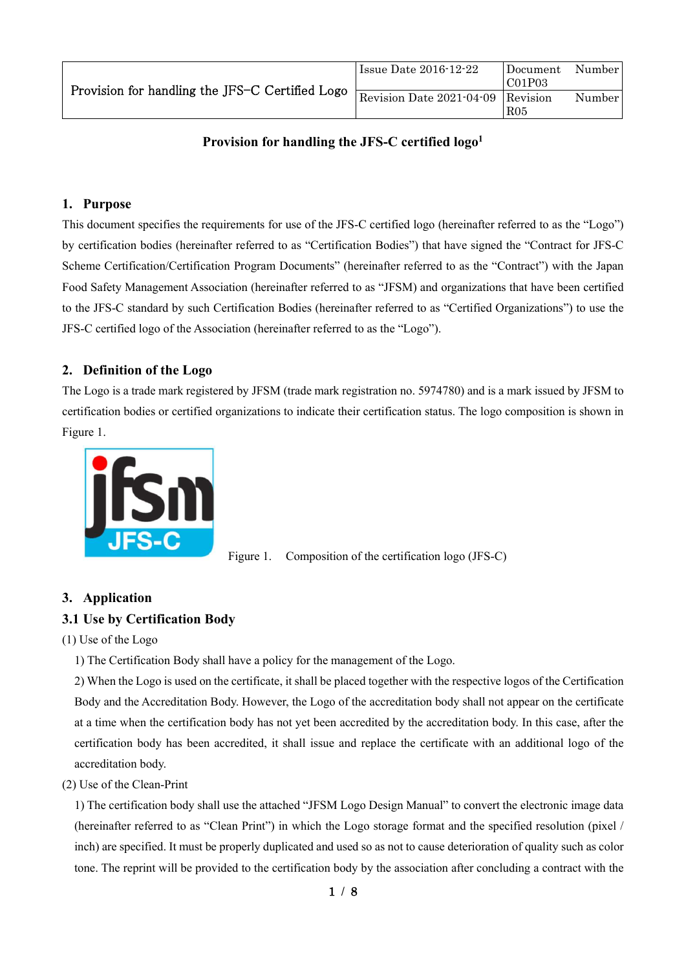|                                                 | Issue Date 2016-12-22             | Document        | Number |
|-------------------------------------------------|-----------------------------------|-----------------|--------|
| Provision for handling the JFS-C Certified Logo |                                   | CO1P03          |        |
|                                                 | Revision Date 2021-04-09 Revision |                 | Number |
|                                                 |                                   | R <sub>05</sub> |        |

## **Provision for handling the JFS-C certified logo 1**

#### **1. Purpose**

This document specifies the requirements for use of the JFS-C certified logo (hereinafter referred to as the "Logo") by certification bodies (hereinafter referred to as "Certification Bodies") that have signed the "Contract for JFS-C Scheme Certification/Certification Program Documents" (hereinafter referred to as the "Contract") with the Japan Food Safety Management Association (hereinafter referred to as "JFSM) and organizations that have been certified to the JFS-C standard by such Certification Bodies (hereinafter referred to as "Certified Organizations") to use the JFS-C certified logo of the Association (hereinafter referred to as the "Logo").

### **2. Definition of the Logo**

The Logo is a trade mark registered by JFSM (trade mark registration no. 5974780) and is a mark issued by JFSM to certification bodies or certified organizations to indicate their certification status. The logo composition is shown in Figure 1.



Figure 1. Composition of the certification logo (JFS-C)

# **3. Application 3.1 Use by Certification Body**

# (1) Use of the Logo

1) The Certification Body shall have a policy for the management of the Logo.

2) When the Logo is used on the certificate, it shall be placed together with the respective logos of the Certification Body and the Accreditation Body. However, the Logo of the accreditation body shall not appear on the certificate at a time when the certification body has not yet been accredited by the accreditation body. In this case, after the certification body has been accredited, it shall issue and replace the certificate with an additional logo of the accreditation body.

#### (2) Use of the Clean-Print

1) The certification body shall use the attached "JFSM Logo Design Manual" to convert the electronic image data (hereinafter referred to as "Clean Print") in which the Logo storage format and the specified resolution (pixel / inch) are specified. It must be properly duplicated and used so as not to cause deterioration of quality such as color tone. The reprint will be provided to the certification body by the association after concluding a contract with the

1 / 8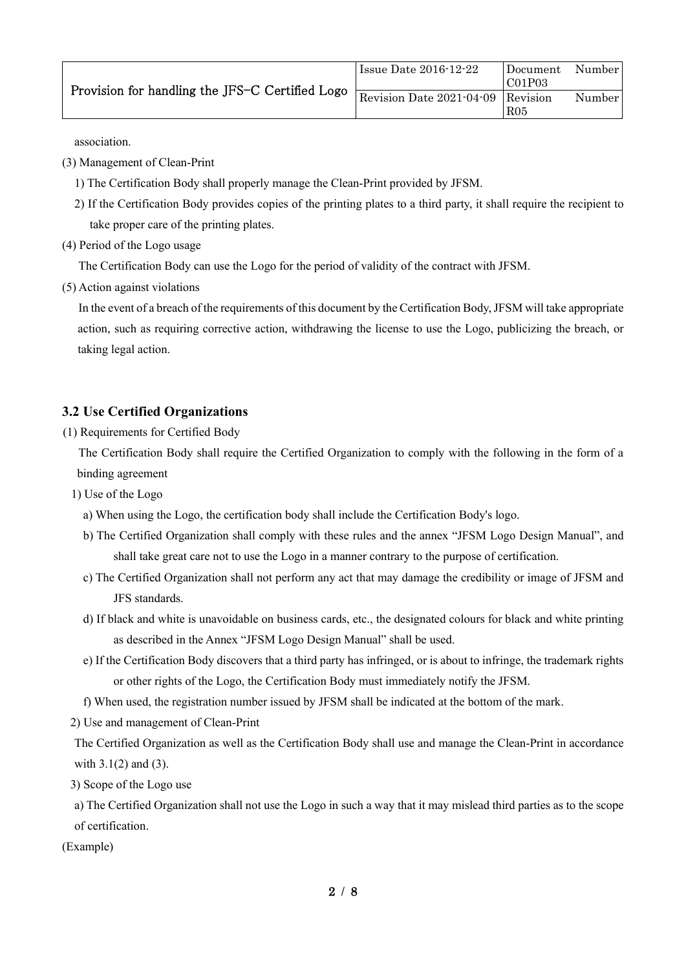| Provision for handling the JFS-C Certified Logo | Issue Date 2016-12-22               | Document        | Number |
|-------------------------------------------------|-------------------------------------|-----------------|--------|
|                                                 |                                     | C01P03          |        |
|                                                 | Revision Date $2021-04-09$ Revision |                 | Number |
|                                                 |                                     | R <sub>05</sub> |        |

association.

- (3) Management of Clean-Print
	- 1) The Certification Body shall properly manage the Clean-Print provided by JFSM.
	- 2) If the Certification Body provides copies of the printing plates to a third party, it shall require the recipient to take proper care of the printing plates.
- (4) Period of the Logo usage

The Certification Body can use the Logo for the period of validity of the contract with JFSM.

(5) Action against violations

In the event of a breach of the requirements of this document by the Certification Body, JFSM will take appropriate action, such as requiring corrective action, withdrawing the license to use the Logo, publicizing the breach, or taking legal action.

## **3.2 Use Certified Organizations**

(1) Requirements for Certified Body

The Certification Body shall require the Certified Organization to comply with the following in the form of a binding agreement

1) Use of the Logo

- a) When using the Logo, the certification body shall include the Certification Body's logo.
- b) The Certified Organization shall comply with these rules and the annex "JFSM Logo Design Manual", and shall take great care not to use the Logo in a manner contrary to the purpose of certification.
- c) The Certified Organization shall not perform any act that may damage the credibility or image of JFSM and JFS standards.
- d) If black and white is unavoidable on business cards, etc., the designated colours for black and white printing as described in the Annex "JFSM Logo Design Manual" shall be used.
- e) If the Certification Body discovers that a third party has infringed, or is about to infringe, the trademark rights or other rights of the Logo, the Certification Body must immediately notify the JFSM.
- f) When used, the registration number issued by JFSM shall be indicated at the bottom of the mark.
- 2) Use and management of Clean-Print

The Certified Organization as well as the Certification Body shall use and manage the Clean-Print in accordance with  $3.1(2)$  and  $(3)$ .

3) Scope of the Logo use

a) The Certified Organization shall not use the Logo in such a way that it may mislead third parties as to the scope of certification.

(Example)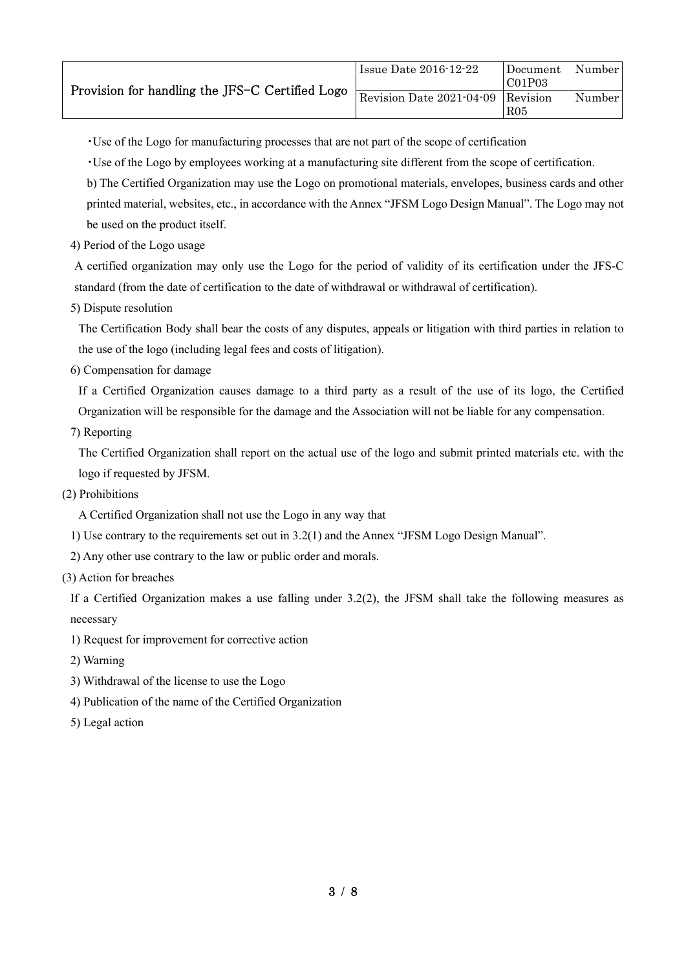| Provision for handling the JFS-C Certified Logo | Issue Date 2016-12-22             | Document | Number |
|-------------------------------------------------|-----------------------------------|----------|--------|
|                                                 |                                   | C01P03   |        |
|                                                 | Revision Date 2021-04-09 Revision |          | Number |
|                                                 |                                   | R05      |        |

・Use of the Logo for manufacturing processes that are not part of the scope of certification

・Use of the Logo by employees working at a manufacturing site different from the scope of certification.

b) The Certified Organization may use the Logo on promotional materials, envelopes, business cards and other printed material, websites, etc., in accordance with the Annex "JFSM Logo Design Manual". The Logo may not be used on the product itself.

4) Period of the Logo usage

A certified organization may only use the Logo for the period of validity of its certification under the JFS-C standard (from the date of certification to the date of withdrawal or withdrawal of certification).

5) Dispute resolution

The Certification Body shall bear the costs of any disputes, appeals or litigation with third parties in relation to the use of the logo (including legal fees and costs of litigation).

6) Compensation for damage

If a Certified Organization causes damage to a third party as a result of the use of its logo, the Certified Organization will be responsible for the damage and the Association will not be liable for any compensation.

7) Reporting

The Certified Organization shall report on the actual use of the logo and submit printed materials etc. with the logo if requested by JFSM.

(2) Prohibitions

A Certified Organization shall not use the Logo in any way that

1) Use contrary to the requirements set out in 3.2(1) and the Annex "JFSM Logo Design Manual".

- 2) Any other use contrary to the law or public order and morals.
- (3) Action for breaches

If a Certified Organization makes a use falling under 3.2(2), the JFSM shall take the following measures as necessary

- 1) Request for improvement for corrective action
- 2) Warning
- 3) Withdrawal of the license to use the Logo
- 4) Publication of the name of the Certified Organization
- 5) Legal action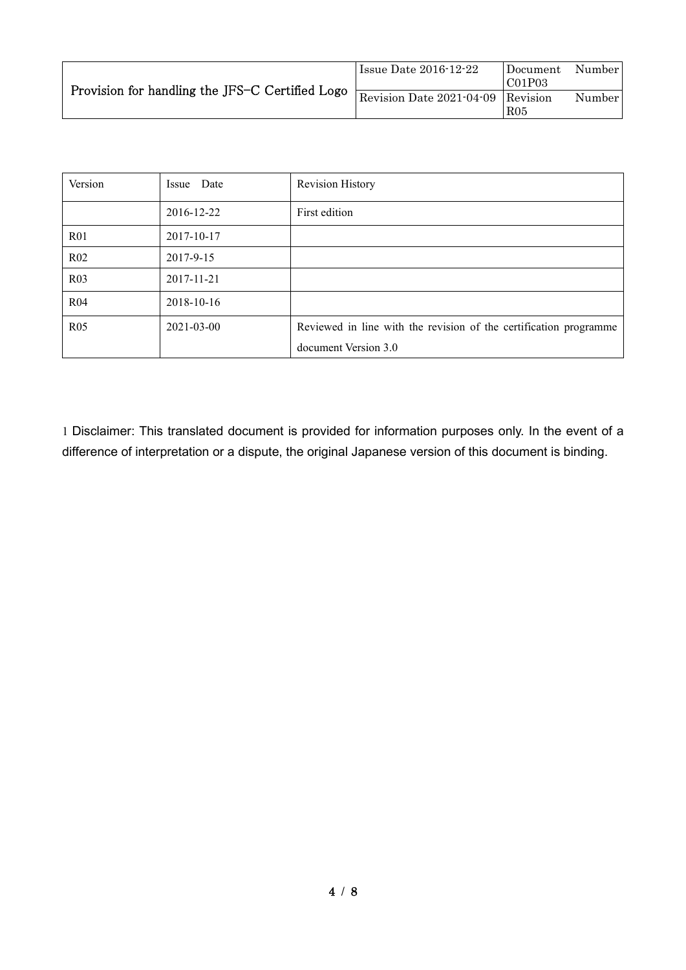| Provision for handling the JFS-C Certified Logo | Issue Date 2016-12-22             | Document<br>CO1P03 | Number |
|-------------------------------------------------|-----------------------------------|--------------------|--------|
|                                                 | Revision Date 2021-04-09 Revision | R05                | Number |

| Version         | Issue Date | <b>Revision History</b>                                           |
|-----------------|------------|-------------------------------------------------------------------|
|                 | 2016-12-22 | First edition                                                     |
| R <sub>01</sub> | 2017-10-17 |                                                                   |
| R <sub>02</sub> | 2017-9-15  |                                                                   |
| R <sub>03</sub> | 2017-11-21 |                                                                   |
| R <sub>04</sub> | 2018-10-16 |                                                                   |
| R <sub>05</sub> | 2021-03-00 | Reviewed in line with the revision of the certification programme |
|                 |            | document Version 3.0                                              |

1 Disclaimer: This translated document is provided for information purposes only. In the event of a difference of interpretation or a dispute, the original Japanese version of this document is binding.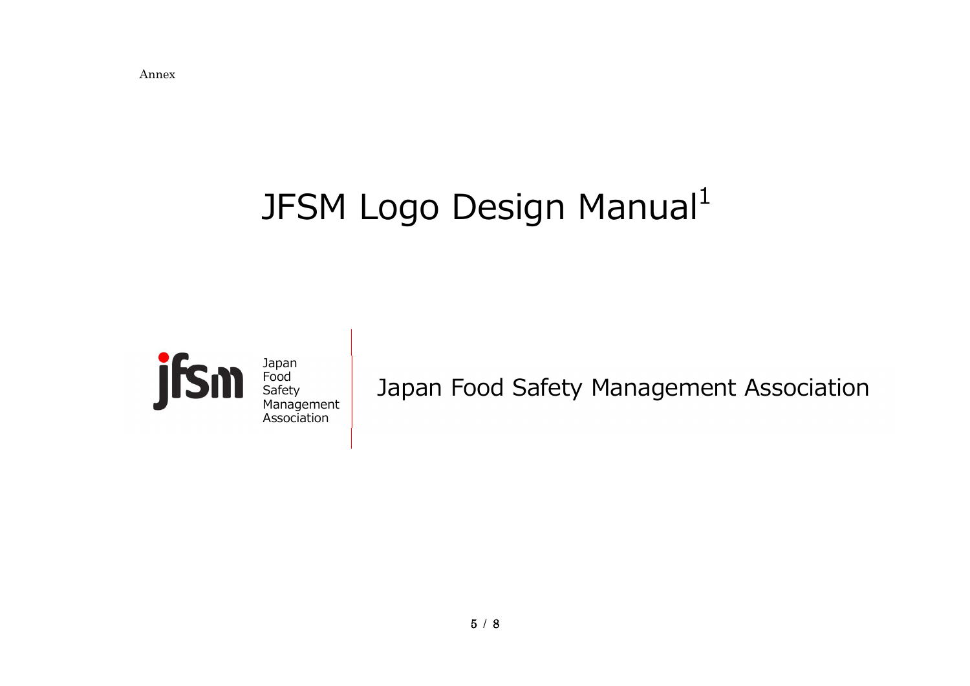# JFSM Logo Design Manual<sup>1</sup>



Japan Food Safety Management Association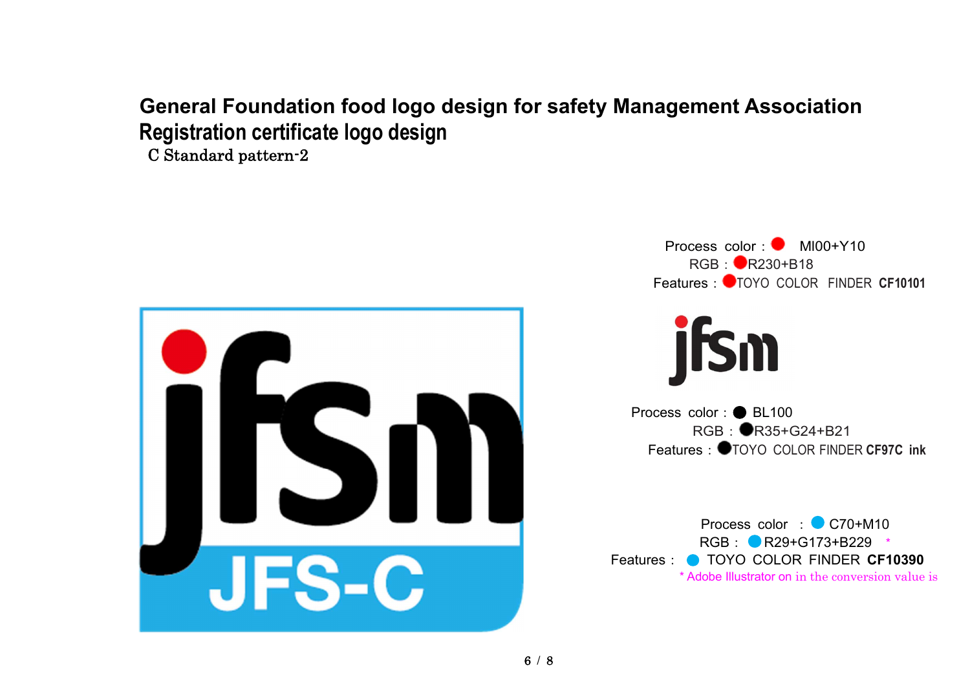# **General Foundation food logo design for safety Management Association Registration certificate logo design**

C Standard pattern-2



Process color: MI00+Y10  $RGB \cdot \bigcirc R230 + R18$ Features: **O**TOYO COLOR FINDER CF10101



Process color: BL100 RGB: R35+G24+B21 Features: TOYO COLOR FINDER **CF97C ink**

Process color : C70+M10 RGB: **C**R29+G173+B229 Features: TOYO COLOR FINDER CF10390 \* Adobe Illustrator on in the conversion value is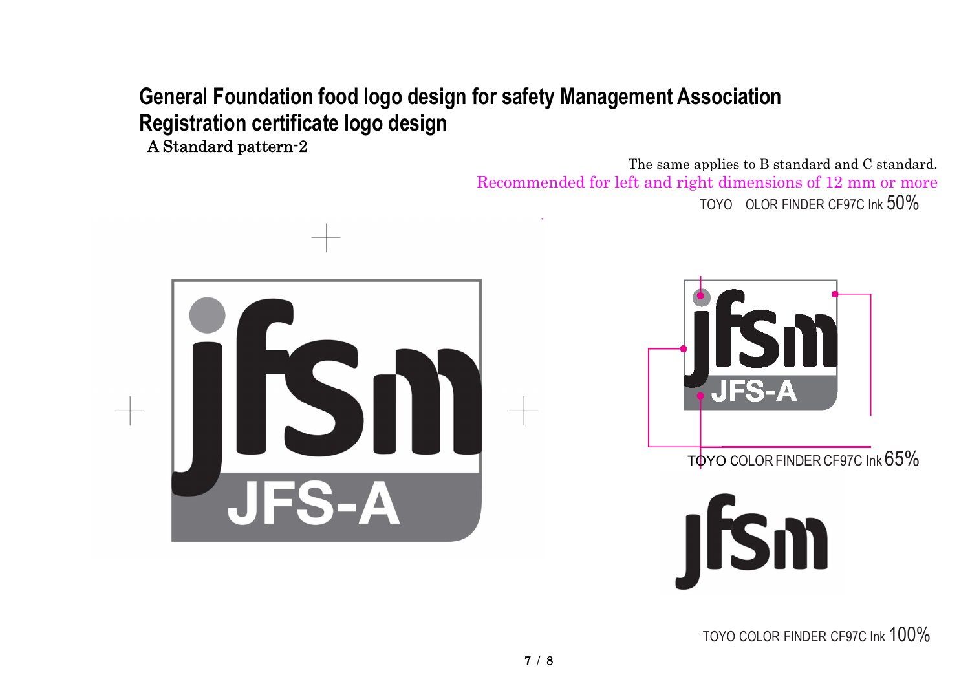# **General Foundation food logo design for safety Management Association Registration certificate logo design**

A Standard pattern-2



TOYO COLOR FINDER CF97C Ink 100%